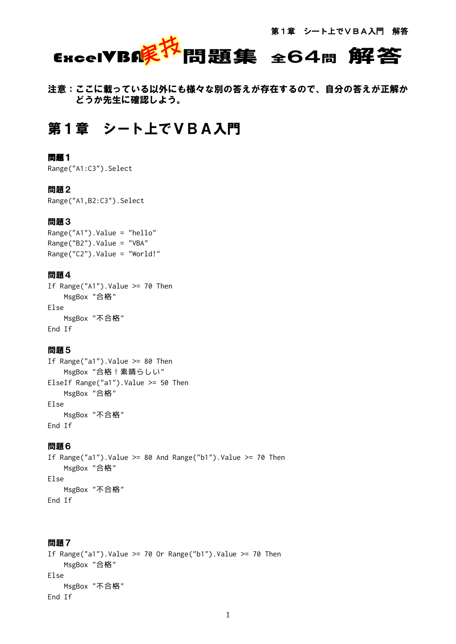# ExcelVBIK<sup>好</sup>問題集 全64問 解答

注意:ここに載っている以外にも様々な別の答えが存在するので、自分の答えが正解か どうか先生に確認しよう。

# 第1章 シート上でVBA入門

# 問題1

Range("A1:C3").Select

#### 問題2

Range("A1,B2:C3").Select

#### 問題3

Range("A1").Value = "hello" Range("B2").Value = "VBA" Range("C2").Value = "World!"

# 問題4

If Range("A1").Value  $\ge$  70 Then MsgBox "合格" Else MsgBox "不合格" End If

#### 問題5

If Range("a1").Value  $\ge$  80 Then MsgBox "合格!素晴らしい" ElseIf Range("a1").Value >= 50 Then MsgBox "合格" Else MsgBox "不合格" End If

#### 問題6

If Range("a1").Value >= 80 And Range("b1").Value >= 70 Then MsgBox "合格" Else MsgBox "不合格" End If

```
If Range("a1").Value >= 70 Or Range("b1").Value >= 70 Then
    MsgBox "合格"
Else
    MsgBox "不合格"
End If
```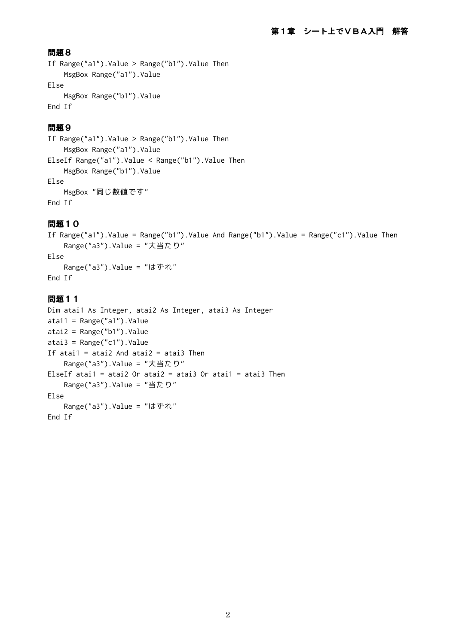```
If Range("a1").Value > Range("b1").Value Then
     MsgBox Range("a1").Value
Else
     MsgBox Range("b1").Value
End If
```
# 問題9

```
If Range("a1").Value > Range("b1").Value Then
     MsgBox Range("a1").Value
ElseIf Range("a1").Value < Range("b1").Value Then
     MsgBox Range("b1").Value
Else
     MsgBox "同じ数値です"
End If
```
# 問題10

```
If Range("a1").Value = Range("b1").Value And Range("b1").Value = Range("c1").Value Then
    Range("a3").Value = "大当たり"
```
Else

```
 Range("a3").Value = "はずれ"
End If
```

```
Dim atai1 As Integer, atai2 As Integer, atai3 As Integer
atai1 = Range("a1").Value
atai2 = Range("b1").Value
atai3 = Range("c1").Value
If atai1 = atai2 And atai2 = atai3 Then
     Range("a3").Value = "大当たり"
ElseIf atai1 = atai2 Or atai2 = atai3 Or atai1 = atai3 Then
    Range("a3").Value = "当たり"
Else
     Range("a3").Value = "はずれ"
End If
```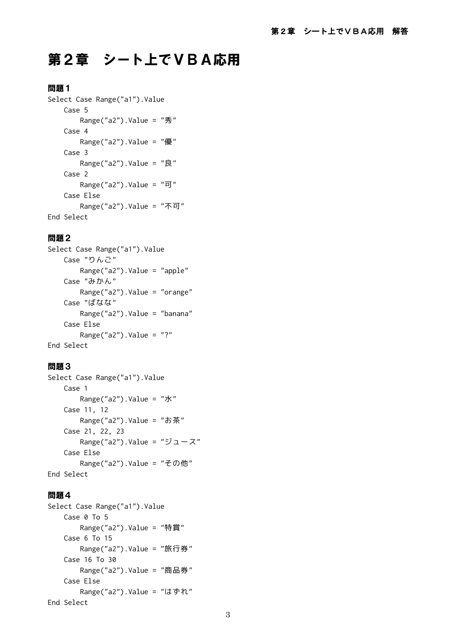# 第2章 シート上でVBA応用

# 問題1

```
Select Case Range("a1").Value
     Case 5
         Range("a2").Value = "秀"
     Case 4
         Range("a2").Value = "優"
     Case 3
         Range("a2").Value = "良"
     Case 2
         Range("a2").Value = "可"
     Case Else
         Range("a2").Value = "不可"
End Select
```
# 問題2

```
Select Case Range("a1").Value
     Case "りんご"
        Range("a2").Value = "apple"
     Case "みかん"
         Range("a2").Value = "orange"
     Case "ばなな"
        Range("a2").Value = "banana"
     Case Else
       Range("a2").Value = "?"
End Select
```
# 問題3

```
Select Case Range("a1"). Value
     Case 1
        Range("a2").Value = "水"
     Case 11, 12
        Range("a2").Value = "お茶"
     Case 21, 22, 23
        Range("a2").Value = "ジュース"
     Case Else
        Range("a2"). Value = "その他"
End Select
```

```
Select Case Range("a1").Value
     Case 0 To 5
         Range("a2").Value = "特賞"
     Case 6 To 15
         Range("a2").Value = "旅行券"
     Case 16 To 30
         Range("a2").Value = "商品券"
     Case Else
        Range("a2").Value = "はずれ"
End Select
```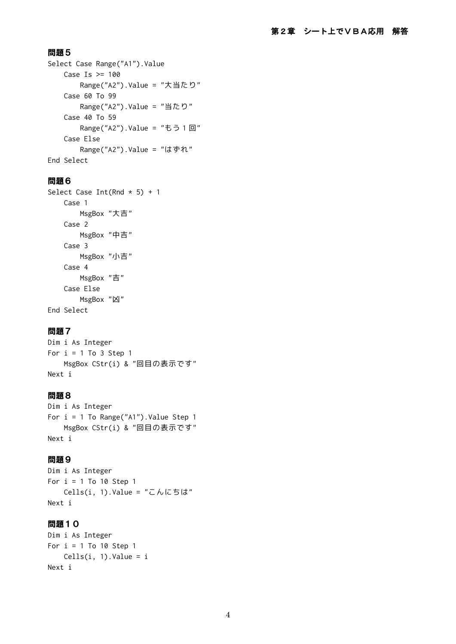```
Select Case Range("A1"). Value
    Case Is > = 100 Range("A2").Value = "大当たり"
     Case 60 To 99
        Range("A2"). Value = "当たり"
     Case 40 To 59
       Range("A2").Value = "もう 1 回"
     Case Else
         Range("A2").Value = "はずれ"
End Select
```
# 問題6

```
Select Case Int(Rnd * 5) + 1 Case 1
         MsgBox "大吉"
     Case 2
         MsgBox "中吉"
     Case 3
         MsgBox "小吉"
     Case 4
         MsgBox "吉"
     Case Else
         MsgBox "凶"
End Select
```
# 問題7

Dim i As Integer For  $i = 1$  To 3 Step 1 MsgBox CStr(i) & "回目の表示です" Next i

# 問題8

```
Dim i As Integer
For i = 1 To Range("A1"). Value Step 1
    MsgBox CStr(i) & "回目の表示です"
Next i
```
#### 問題9

```
Dim i As Integer
For i = 1 To 10 Step 1
   Cells(i, 1).Value = "こんにちは"
Next i
```

```
Dim i As Integer
For i = 1 To 10 Step 1
   Cells(i, 1). Value = i
Next i
```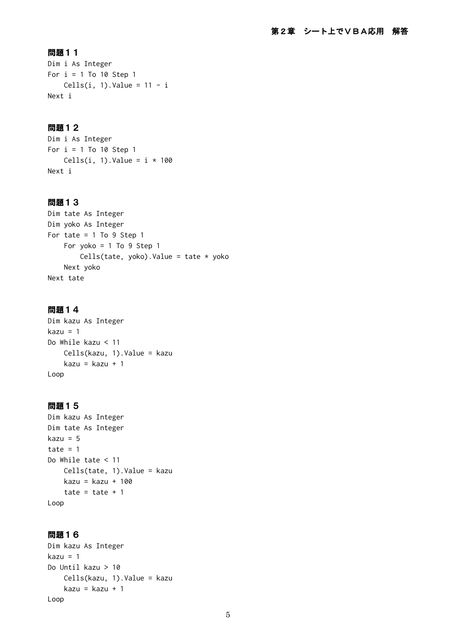Dim i As Integer For  $i = 1$  To 10 Step 1 Cells(i, 1).Value =  $11 - i$ Next i

# 問題12

Dim i As Integer For  $i = 1$  To 10 Step 1 Cells(i, 1).Value =  $i * 100$ Next i

#### 問題13

```
Dim tate As Integer
Dim yoko As Integer
For tate = 1 To 9 Step 1
     For yoko = 1 To 9 Step 1
        Cells(tate, yoko).Value = tate * yoko
     Next yoko
Next tate
```
#### 問題14

```
Dim kazu As Integer
kazu = 1
Do While kazu < 11
     Cells(kazu, 1).Value = kazu
     kazu = kazu + 1
Loop
```
# 問題15

```
Dim kazu As Integer
Dim tate As Integer
kazu = 5
tate = 1Do While tate < 11
    Cells(tate, 1).Value = kazu
     kazu = kazu + 100
    tate = tate +1Loop
```

```
Dim kazu As Integer
kazu = 1
Do Until kazu > 10
    Cells(kazu, 1).Value = kazu
    kazu = kazu + 1
Loop
```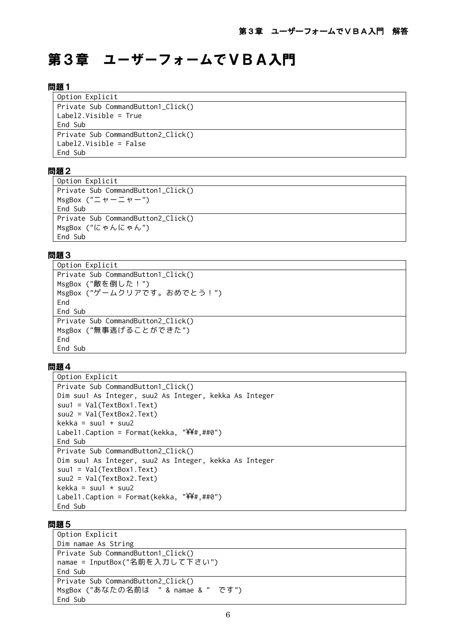# 第3章 ユーザーフォームでVBA入門

#### 問題1

| Option Explicit                    |
|------------------------------------|
| Private Sub CommandButton1_Click() |
| $Label2.Visible = True$            |
| End Sub                            |
| Private Sub CommandButton2_Click() |
| $Label2.Visible = False$           |
| Fnd Sub                            |

# 問題2

| Option Explicit                               |
|-----------------------------------------------|
| Private Sub CommandButton1_Click()            |
| MsgBox $("E + -E + -")$                       |
| End Sub                                       |
| Private Sub CommandButton2_Click()            |
| MsgBox $("C \uplus \wedge (C \uplus \wedge")$ |
| End Sub                                       |

#### 問題3

```
Option Explicit
Private Sub CommandButton1_Click()
MsgBox ("敵を倒した!")
MsgBox ("ゲームクリアです。おめでとう!")
End
End Sub
Private Sub CommandButton2_Click()
MsgBox ("無事逃げることができた")
End
End Sub
```
#### 問題4

```
Option Explicit
Private Sub CommandButton1 Click()
Dim suu1 As Integer, suu2 As Integer, kekka As Integer
suu1 = Val(TextBox1.Text)
suu2 = Val(TextBox2.Text)
kekka = suu1 + suu2
Label1.Caption = Format(kekka, "YY#, ##0")End Sub
Private Sub CommandButton2_Click()
Dim suu1 As Integer, suu2 As Integer, kekka As Integer
suu1 = Val(TextBox1.Text)
suu2 = Val(TextBox2.Text)
kekka = suu1 * suu2
Label1.Caption = Format(kekka, "YY#, ##0")End Sub
```

```
Option Explicit
Dim namae As String
Private Sub CommandButton1_Click()
namae = InputBox("名前を入力して下さい")
End Sub
Private Sub CommandButton2_Click()
MsgBox ("あなたの名前は " & namae & " です")
End Sub
```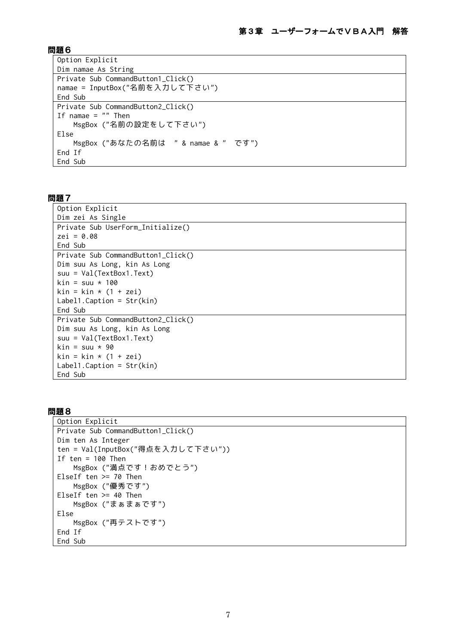| Option Explicit                     |
|-------------------------------------|
| Dim namae As String                 |
| Private Sub CommandButton1_Click()  |
| namae = InputBox("名前を入力して下さい")      |
| End Sub                             |
| Private Sub CommandButton2_Click()  |
| If namae $=$ "" Then                |
| MsgBox ("名前の設定をして下さい")              |
| Else                                |
| MsgBox ("あなたの名前は " & namae & " です") |
| End If                              |
| End Sub                             |

# 問題7

| Option Explicit                    |
|------------------------------------|
| Dim zei As Single                  |
| Private Sub UserForm_Initialize()  |
| $zei = 0.08$                       |
| End Sub                            |
| Private Sub CommandButton1_Click() |
| Dim suu As Long, kin As Long       |
| suu = Val(TextBox1.Text)           |
| kin = suu * 100                    |
| kin = kin * (1 + zei)              |
| $Label1.Caption = Str(kin)$        |
| End Sub                            |
| Private Sub CommandButton2_Click() |
| Dim suu As Long, kin As Long       |
| $s$ uu = $Val(TextBox1.Text)$      |
| kin = suu * 90                     |
| $kin = kin * (1 + zei)$            |
| Label1. Caption = $Str(kin)$       |
| End Sub                            |

```
Option Explicit
Private Sub CommandButton1_Click()
Dim ten As Integer
ten = Val(InputBox("得点を入力して下さい"))
If ten = 100 Then
    MsgBox ("満点です!おめでとう")
ElseIf ten >= 70 Then
    MsgBox ("優秀です")
ElseIf ten >= 40 Then
    MsgBox ("まぁまぁです")
Else
    MsgBox ("再テストです")
End If
End Sub
```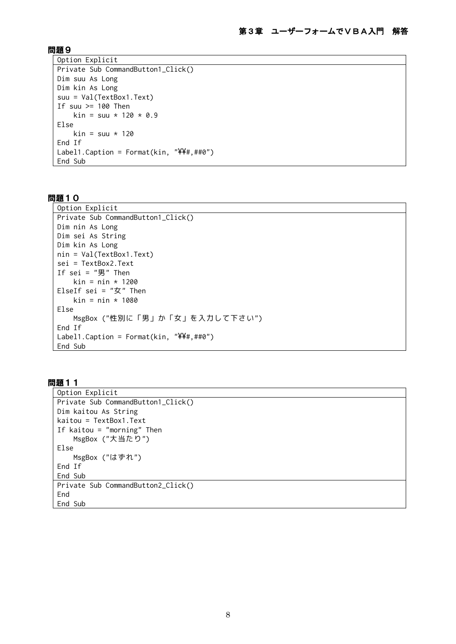```
Option Explicit
Private Sub CommandButton1_Click()
Dim suu As Long
Dim kin As Long
suu = Val(TextBox1.Text)
If suu >= 100 Then
    kin = suu * 120 * 0.9Else
    kin = suu * 120End If
Label1.Caption = Format(kin, "YY#, ##0")End Sub
```
# 問題10

```
Option Explicit
Private Sub CommandButton1_Click()
Dim nin As Long
Dim sei As String
Dim kin As Long
nin = Val(TextBox1.Text)
sei = TextBox2.Text
If sei = "1" Then
   kin = nin * 1200
ElseIf sei = "女" Then
    kin = nin * 1080
Else
     MsgBox ("性別に「男」か「女」を入力して下さい")
End If
Label1.Caption = \text{Format}(kin, \ ^{"\cancel{Y}\cancel{Y}\#}, \# \theta")End Sub
```

```
Option Explicit
Private Sub CommandButton1_Click()
Dim kaitou As String
kaitou = TextBox1.Text
If kaitou = "morning" Then
    MsgBox ("大当たり")
Else
     MsgBox ("はずれ")
End If
End Sub
Private Sub CommandButton2_Click()
End
End Sub
```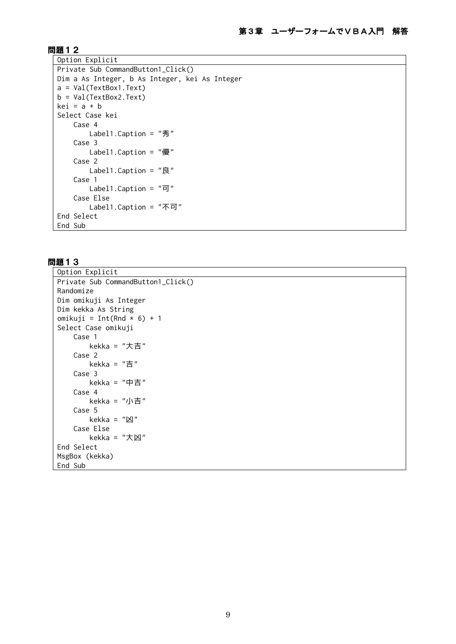```
Option Explicit
Private Sub CommandButton1_Click()
Dim a As Integer, b As Integer, kei As Integer
a = Val(TextBox1.Text)
b = Val(TextBox2.Text)
kei = a + bSelect Case kei
     Case 4
         Label1.Caption = "秀"
     Case 3
         Label1.Caption = "優"
     Case 2
         Label1.Caption = "良"
     Case 1
        Label1. Caption = "可"
     Case Else
         Label1.Caption = "不可"
End Select
End Sub
```

```
Option Explicit
Private Sub CommandButton1_Click()
Randomize
Dim omikuji As Integer
Dim kekka As String
omikuji = Int(Rnd * 6) + 1
Select Case omikuji
     Case 1
         kekka = "大吉"
     Case 2
         kekka = "吉"
     Case 3
         kekka = "中吉"
     Case 4
        kekka = "小吉"
     Case 5
        kekka = "凶"
     Case Else
        kekka = "大凶"
End Select
MsgBox (kekka)
End Sub
```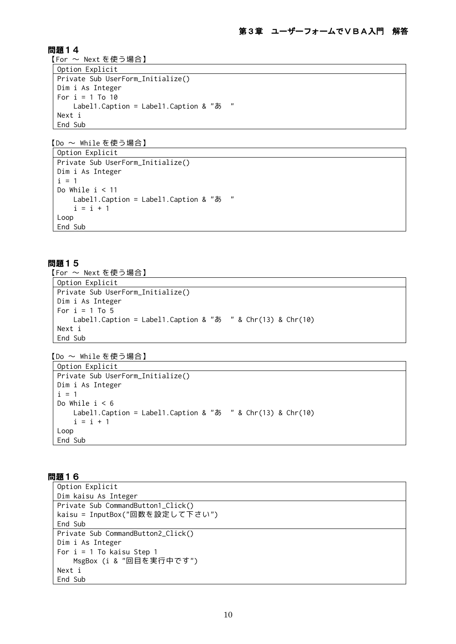【For ~ Next を使う場合】

```
Option Explicit
Private Sub UserForm_Initialize()
Dim i As Integer
For i = 1 To 10
     Label1.Caption = Label1.Caption & "あ "
Next i
End Sub
```
【Do ~ While を使う場合】

```
Option Explicit
Private Sub UserForm_Initialize()
Dim i As Integer
i = 1Do While i < 11
    Label1.Caption = Label1.Caption & "あ "
    i = i + 1Loop
End Sub
```
問題15

【For ~ Next を使う場合】

```
Option Explicit
Private Sub UserForm_Initialize()
Dim i As Integer
For i = 1 To 5
    Label1. Caption = Label1. Caption & "\bar{\phi} " & Chr(13) & Chr(10)
Next i
End Sub
```
【Do ~ While を使う場合】

```
Option Explicit
Private Sub UserForm_Initialize()
Dim i As Integer
i = 1Do While i < 6 Label1.Caption = Label1.Caption & "あ " & Chr(13) & Chr(10)
    i = i + 1Loop
End Sub
```

```
Option Explicit
Dim kaisu As Integer
Private Sub CommandButton1_Click()
kaisu = InputBox("回数を設定して下さい")
End Sub
Private Sub CommandButton2_Click()
Dim i As Integer
For i = 1 To kaisu Step 1
    MsgBox (i & "回目を実行中です")
Next i
End Sub
```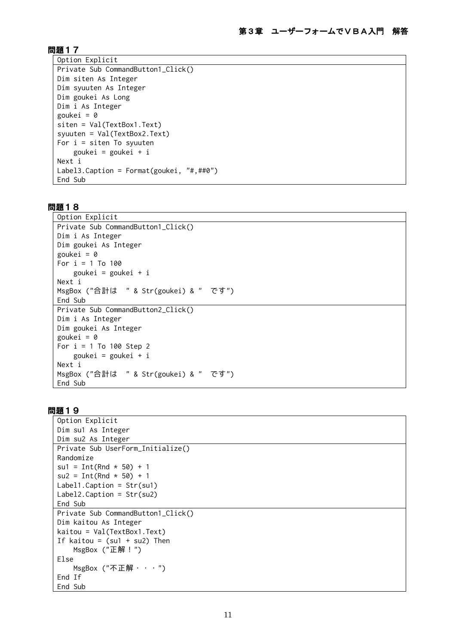```
Option Explicit
Private Sub CommandButton1_Click()
Dim siten As Integer
Dim syuuten As Integer
Dim goukei As Long
Dim i As Integer
goukei = \thetasiten = Val(TextBox1.Text)
syuuten = Val(TextBox2.Text)
For i = s iten To syuuten
     goukei = goukei + i
Next i
Label3.Caption = Format(goukei, "#,##0")
End Sub
```
#### 問題18

```
Option Explicit
Private Sub CommandButton1_Click()
Dim i As Integer
Dim goukei As Integer
goukei = \thetaFor i = 1 To 100
     goukei = goukei + i
Next i
MsgBox ("合計は " & Str(goukei) & " です")
End Sub
Private Sub CommandButton2_Click()
Dim i As Integer
Dim goukei As Integer
goukei = 0
For i = 1 To 100 Step 2
     goukei = goukei + i
Next i
MsgBox ("合計は " & Str(goukei) & " です")
End Sub
```

```
Option Explicit
Dim su1 As Integer
Dim su2 As Integer
Private Sub UserForm_Initialize()
Randomize
su1 = Int(Rnd * 50) + 1su2 = Int(Rnd * 50) + 1Label1.Caption = Str(su1)
Label2.Caption = Str(su2)
End Sub
Private Sub CommandButton1 Click()
Dim kaitou As Integer
kaitou = Val(TextBox1.Text)
If kaitou = (su1 + su2) Then
    MsgBox ("正解!")
Else
    MsgBox ("不正解・・・")
End If
End Sub
```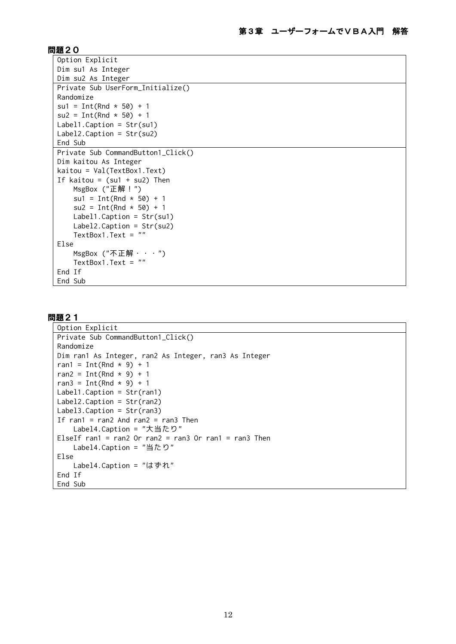```
Option Explicit
Dim su1 As Integer
Dim su2 As Integer
Private Sub UserForm_Initialize()
Randomize
su1 = Int(Rnd * 50) + 1
su2 = Int(Rnd * 50) + 1Label1.Caption = Str(su1)
Label2.Caption = Str(su2)
End Sub
Private Sub CommandButton1 Click()
Dim kaitou As Integer
kaitou = Val(TextBox1.Text)
If kaitou = (su1 + su2) Then
    MsgBox ("正解!")
    suf = Int(Rnd * 50) + 1su2 = Int(Rnd * 50) + 1 Label1.Caption = Str(su1)
     Label2.Caption = Str(su2)
     TextBox1.Text = ""
Else
     MsgBox ("不正解・・・")
     TextBox1.Text = ""
End If
End Sub
```

```
Option Explicit
Private Sub CommandButton1_Click()
Randomize
Dim ran1 As Integer, ran2 As Integer, ran3 As Integer
ran1 = Int(Rnd * 9) + 1
ran2 = Int(Rnd * 9) + 1
ran3 = Int(Rnd * 9) + 1
Label1.Caption = Str(ran1)
Label2.Caption = Str(ran2)
Label3.Caption = Str(ran3)
If ran1 = ran2 And ran2 = ran3 Then
     Label4.Caption = "大当たり"
ElseIf ran1 = ran2 Or ran2 = ran3 Or ran1 = ran3 Then
    Label4.Caption = "当たり"
Else
     Label4.Caption = "はずれ"
End If
End Sub
```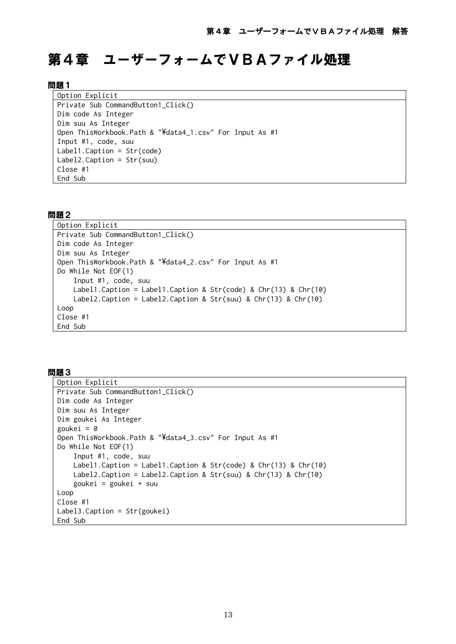# 第4章 ユーザーフォームでVBAファイル処理

#### 問題1

Option Explicit Private Sub CommandButton1\_Click() Dim code As Integer Dim suu As Integer Open ThisWorkbook.Path & "\data4\_1.csv" For Input As #1 Input #1, code, suu Label1.Caption = Str(code) Label2.Caption = Str(suu) Close #1 End Sub

#### 問題2

```
Option Explicit
Private Sub CommandButton1_Click()
Dim code As Integer
Dim suu As Integer
Open ThisWorkbook.Path & "\data4_2.csv" For Input As #1
Do While Not EOF(1)
     Input #1, code, suu
     Label1.Caption = Label1.Caption & Str(code) & Chr(13) & Chr(10)
     Label2.Caption = Label2.Caption & Str(suu) & Chr(13) & Chr(10)
Loop
Close #1
End Sub
```

```
Option Explicit
Private Sub CommandButton1_Click()
Dim code As Integer
Dim suu As Integer
Dim goukei As Integer
goukei = 0
Open ThisWorkbook.Path & "\data4_3.csv" For Input As #1
Do While Not EOF(1)
     Input #1, code, suu
     Label1.Caption = Label1.Caption & Str(code) & Chr(13) & Chr(10)
     Label2.Caption = Label2.Caption & Str(suu) & Chr(13) & Chr(10)
     goukei = goukei + suu
Loop
Close #1
Label3.Caption = Str(goukei)
End Sub
```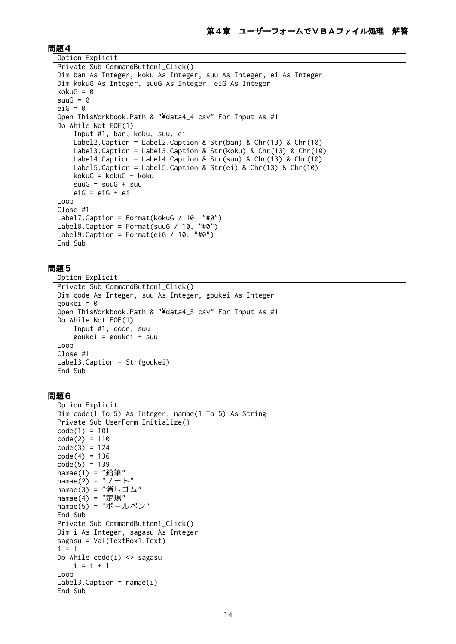```
Option Explicit
Private Sub CommandButton1_Click()
Dim ban As Integer, koku As Integer, suu As Integer, ei As Integer
Dim kokuG As Integer, suuG As Integer, eiG As Integer
kokuG = 0suuG = 0eiG = 0Open ThisWorkbook.Path & "\data4_4.csv" For Input As #1
Do While Not EOF(1)
     Input #1, ban, koku, suu, ei
     Label2.Caption = Label2.Caption & Str(ban) & Chr(13) & Chr(10)
     Label3.Caption = Label3.Caption & Str(koku) & Chr(13) & Chr(10)
     Label4.Caption = Label4.Caption & Str(suu) & Chr(13) & Chr(10)
     Label5.Caption = Label5.Caption & Str(ei) & Chr(13) & Chr(10)
     kokuG = kokuG + koku
    suuG = suuG + suu
     eiG = eiG + ei
Loop
Close #1
Label7.Caption = Format(kokuG / 10, "#0")
Label8.Caption = Format(suuG / 10, "#0")
Label9.Caption = Format(eiG / 10, "#0")
End Sub
```
#### 問題5

```
Option Explicit
Private Sub CommandButton1_Click()
Dim code As Integer, suu As Integer, goukei As Integer
goukei = \thetaOpen ThisWorkbook.Path & "\data4_5.csv" For Input As #1
Do While Not EOF(1)
     Input #1, code, suu
     goukei = goukei + suu
Loop
Close #1
Label3.Caption = Str(goukei)
End Sub
```

```
Option Explicit
Dim code(1 To 5) As Integer, namae(1 To 5) As String
Private Sub UserForm_Initialize()
code(1) = 101code(2) = 110code(3) = 124code(4) = 136code(5) = 139namae(1) = "鉛筆"
namae(2) = "J - \vdash"namae(3) = "消しゴム"
namae(4) = "定規"
namae(5) = "ボールペン"
End Sub
Private Sub CommandButton1 Click()
Dim i As Integer, sagasu As Integer
sagasu = Val(TextBox1.Text)
i = 1Do While code(i) \Leftrightarrow sagasu
    i = i + 1Loop
Label3.Caption = name(i)End Sub
```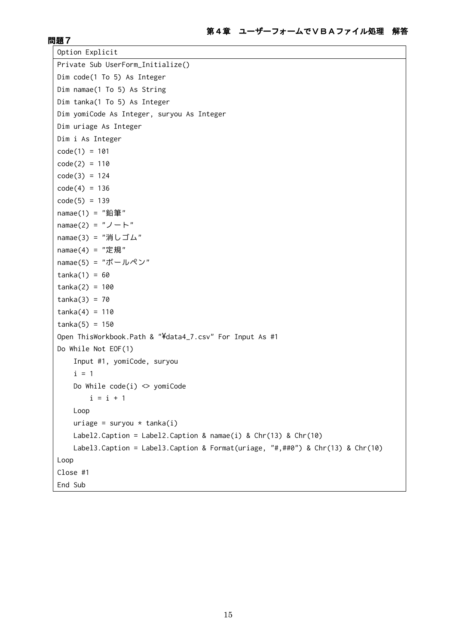```
Option Explicit
Private Sub UserForm_Initialize()
Dim code(1 To 5) As Integer
Dim namae(1 To 5) As String
Dim tanka(1 To 5) As Integer
Dim yomiCode As Integer, suryou As Integer
Dim uriage As Integer
Dim i As Integer
code(1) = 101code(2) = 110code(3) = 124code(4) = 136code(5) = 139namae(1) = "鉛筆"
namae(2) = "J - h"namae(3) = "消しゴム"
namae(4) = "定規"
namae(5) = "ボールペン"
tanka(1) = 60tanka(2) = 100tanka(3) = 70tanka(4) = 110tanka(5) = 150Open ThisWorkbook.Path & "\data4_7.csv" For Input As #1
Do While Not EOF(1)
     Input #1, yomiCode, suryou
    i = 1Do While code(i) \Leftrightarrow yomiCode
       i = i + 1 Loop
    uriage = suryou * tanka(i)
    Label2.Caption = Label2.Caption & namae(i) & Chr(13) & Chr(10)
     Label3.Caption = Label3.Caption & Format(uriage, "#,##0") & Chr(13) & Chr(10)
Loop
Close #1
End Sub
```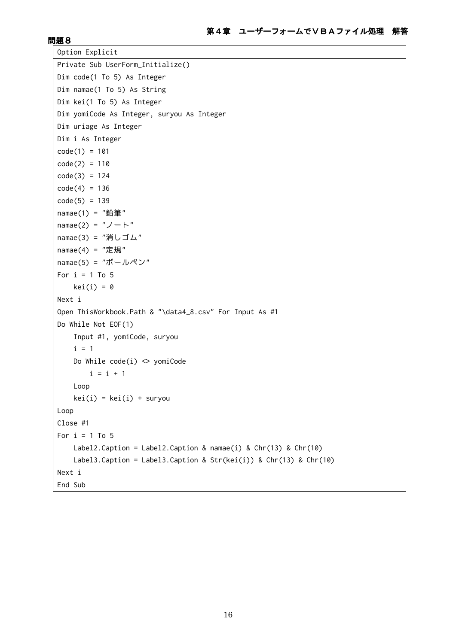```
Option Explicit
Private Sub UserForm_Initialize()
Dim code(1 To 5) As Integer
Dim namae(1 To 5) As String
Dim kei(1 To 5) As Integer
Dim yomiCode As Integer, suryou As Integer
Dim uriage As Integer
Dim i As Integer
code(1) = 101code(2) = 110code(3) = 124code(4) = 136code(5) = 139namae(1) = "鉛筆"
namae(2) = "J - h"namae(3) = "消しゴム"
namae(4) = "定規"
namae(5) = "ボールペン"
For i = 1 To 5
   kei(i) = 0Next i
Open ThisWorkbook.Path & "\data4_8.csv" For Input As #1
Do While Not EOF(1)
    Input #1, yomiCode, suryou
   i = 1Do While code(i) \le yomiCode
       i = i + 1 Loop
   kei(i) = kei(i) + suryouLoop
Close #1
For i = 1 To 5
   Label2.Caption = Label2.Caption & namae(i) & Chr(13) & Chr(10)
    Label3.Caption = Label3.Caption & Str(kei(i)) & Chr(13) & Chr(10)
Next i
End Sub
```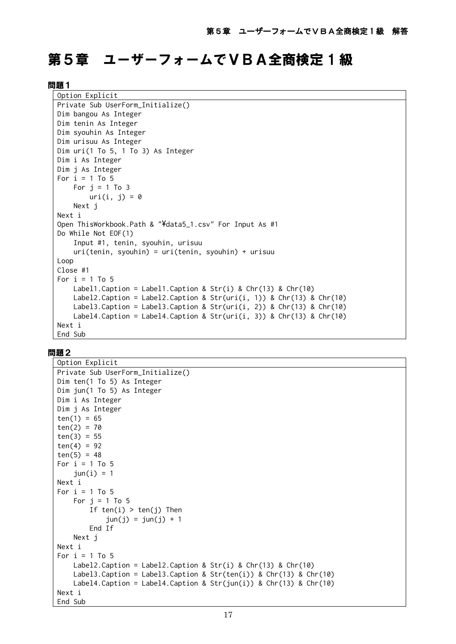# 第5章 ユーザーフォームでVBA全商検定1級

#### 問題1

| Option Explicit                                                      |
|----------------------------------------------------------------------|
| Private Sub UserForm_Initialize()                                    |
| Dim bangou As Integer                                                |
| Dim tenin As Integer                                                 |
| Dim syouhin As Integer                                               |
| Dim urisuu As Integer                                                |
| Dim $uri(1$ To 5, 1 To 3) As Integer                                 |
| Dim i As Integer                                                     |
| Dim j As Integer                                                     |
| For $i = 1$ To 5                                                     |
| For $j = 1$ To 3                                                     |
| $uri(i, j) = 0$                                                      |
| Next j                                                               |
| Next i                                                               |
| Open ThisWorkbook. Path & "¥data5_1.csv" For Input As #1             |
| Do While Not EOF(1)                                                  |
| Input #1, tenin, syouhin, urisuu                                     |
| $uri(tenin, syouhin) = uri(tenin, syouhin) + urisuu$                 |
| Loop                                                                 |
| $Close$ #1                                                           |
| For $i = 1$ To 5                                                     |
| Label1. Caption = Label1. Caption & Str(i) & Chr(13) & Chr(10)       |
| Label2.Caption = Label2.Caption & Str(uri(i, 1)) & Chr(13) & Chr(10) |
| Label3.Caption = Label3.Caption & Str(uri(i, 2)) & Chr(13) & Chr(10) |
| Label4.Caption = Label4.Caption & Str(uri(i, 3)) & Chr(13) & Chr(10) |
| Next i                                                               |
| End Sub                                                              |

```
Option Explicit
Private Sub UserForm_Initialize()
Dim ten(1 To 5) As Integer
Dim jun(1 To 5) As Integer
Dim i As Integer
Dim j As Integer
ten(1) = 65ten(2) = 70ten(3) = 55ten(4) = 92ten(5) = 48For i = 1 To 5
    jun(i) = 1Next i
For i = 1 To 5
    For j = 1 To 5
        If ten(i) > ten(j) Then
            jun(j) = jun(j) + 1 End If
     Next j
Next i
For i = 1 To 5
     Label2.Caption = Label2.Caption & Str(i) & Chr(13) & Chr(10)
    Label3.Caption = Label3.Caption & Str(ten(i)) & Chr(13) & Chr(10)Label4.Caption = Label4.Caption & Str(jun(i)) & Chr(13) & Chr(10)Next i
End Sub
```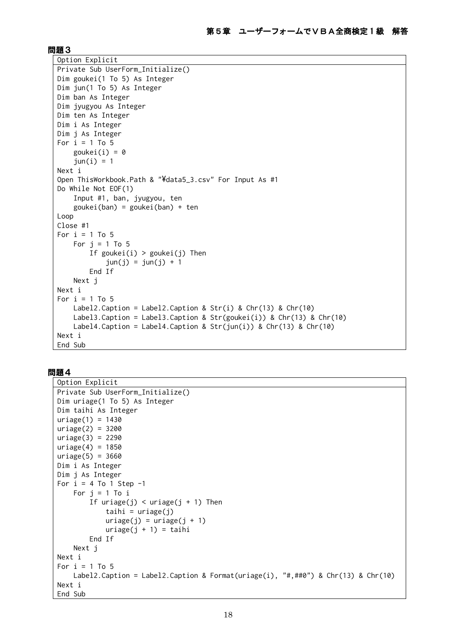```
Option Explicit
Private Sub UserForm_Initialize()
Dim goukei(1 To 5) As Integer
Dim jun(1 To 5) As Integer
Dim ban As Integer
Dim jyugyou As Integer
Dim ten As Integer
Dim i As Integer
Dim j As Integer
For i = 1 To 5
    goukei(i) = \thetajun(i) = 1Next i
Open ThisWorkbook.Path & "\data5_3.csv" For Input As #1
Do While Not EOF(1)
     Input #1, ban, jyugyou, ten
     goukei(ban) = goukei(ban) + ten
Loop
Close #1
For i = 1 To 5
    For j = 1 To 5
        If goukei(i) > goukei(j) Then
            jun(j) = jun(j) + 1 End If
     Next j
Next i
For i = 1 To 5
    Label2.Caption = Label2.Caption & Str(i) & Chr(13) & Chr(10)Label3.Caption = Label3.Caption & Str(goukei(i)) & Chr(13) & Chr(10)
    Label4.Caption = Label4.Caption & Str(jun(i)) & Chr(13) & Chr(10)Next i
End Sub
```

```
Option Explicit
Private Sub UserForm_Initialize()
Dim uriage(1 To 5) As Integer
Dim taihi As Integer
uriage(1) = 1430uriage(2) = 3200uridge(3) = 2290uriage(4) = 1850urlage(5) = 3660Dim i As Integer
Dim j As Integer
For i = 4 To 1 Step -1For j = 1 To iIf uriage(j) < uriage(j + 1) Then
            taihi = uriage(j)uriage(j) = uriage(j + 1)uriage(j + 1) = taili End If
    Next j
Next i
For i = 1 To 5
     Label2.Caption = Label2.Caption & Format(uriage(i), "#,##0") & Chr(13) & Chr(10)
Next i
End Sub
```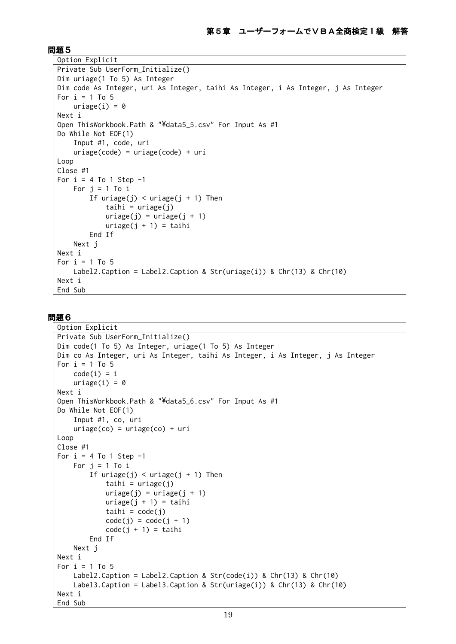```
Option Explicit
Private Sub UserForm_Initialize()
Dim uriage(1 To 5) As Integer
Dim code As Integer, uri As Integer, taihi As Integer, i As Integer, j As Integer
For i = 1 To 5
    uriage(i) = 0Next i
Open ThisWorkbook.Path & "\data5_5.csv" For Input As #1
Do While Not EOF(1)
     Input #1, code, uri
     uriage(code) = uriage(code) + uri
Loop
Close #1
For i = 4 To 1 Step -1
    For j = 1 To iIf uriage(j) < uriage(j + 1) Then
            taihi = urige(j)uriage(i) = uriage(i + 1)uriage(j + 1) = taili End If
     Next j
Next i
For i = 1 To 5
    Label2.Caption = Label2.Caption & Str(uriage(i)) & Chr(13) & Chr(10)
Next i
End Sub
```

```
Option Explicit
Private Sub UserForm_Initialize()
Dim code(1 To 5) As Integer, uriage(1 To 5) As Integer
Dim co As Integer, uri As Integer, taihi As Integer, i As Integer, j As Integer
For i = 1 To 5
    code(i) = iuriage(i) = 0Next i
Open ThisWorkbook.Path & "\data5_6.csv" For Input As #1
Do While Not EOF(1)
     Input #1, co, uri
    uriage(co) = uriage(co) + uriLoop
Close #1
For i = 4 To 1 Step -1
    For i = 1 To iIf uriage(j) < uriage(j + 1) Then
            tail = uriage(j)uriage(j) = uriage(j + 1)uriage(j + 1) = tailitaihi = code(j)code(j) = code(j + 1)code(j + 1) = tail End If
    Next j
Next i
For i = 1 To 5
    Label2.Caption = Label2.Caption & Str(code(i)) & Chr(13) & Chr(10) Label3.Caption = Label3.Caption & Str(uriage(i)) & Chr(13) & Chr(10)
Next i
End Sub
```